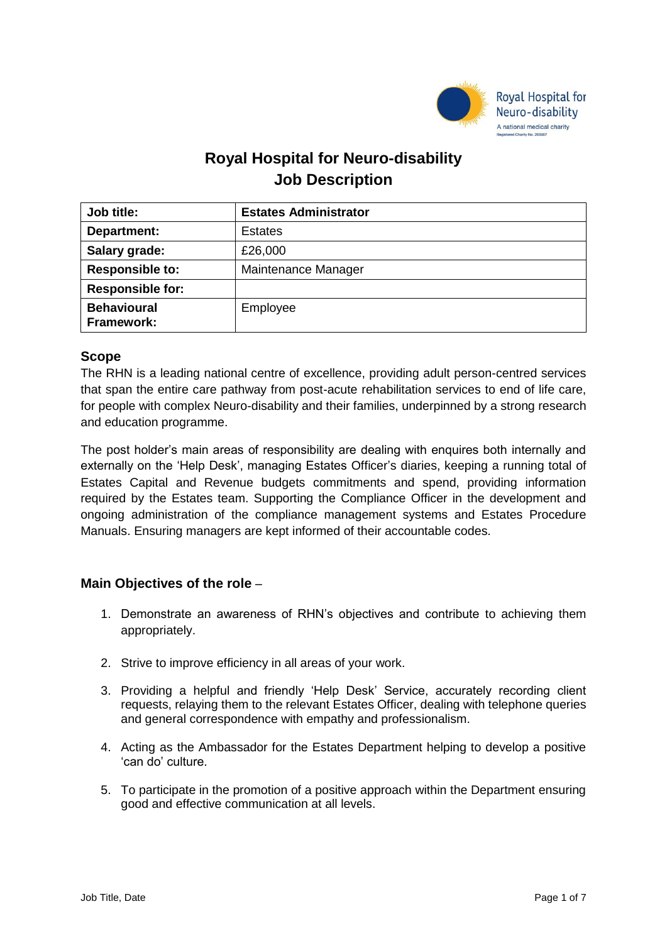

# **Royal Hospital for Neuro-disability Job Description**

| Job title:                       | <b>Estates Administrator</b> |
|----------------------------------|------------------------------|
| Department:                      | <b>Estates</b>               |
| Salary grade:                    | £26,000                      |
| <b>Responsible to:</b>           | Maintenance Manager          |
| <b>Responsible for:</b>          |                              |
| <b>Behavioural</b><br>Framework: | Employee                     |

# **Scope**

The RHN is a leading national centre of excellence, providing adult person-centred services that span the entire care pathway from post-acute rehabilitation services to end of life care, for people with complex Neuro-disability and their families, underpinned by a strong research and education programme.

The post holder's main areas of responsibility are dealing with enquires both internally and externally on the 'Help Desk', managing Estates Officer's diaries, keeping a running total of Estates Capital and Revenue budgets commitments and spend, providing information required by the Estates team. Supporting the Compliance Officer in the development and ongoing administration of the compliance management systems and Estates Procedure Manuals. Ensuring managers are kept informed of their accountable codes.

# **Main Objectives of the role** –

- 1. Demonstrate an awareness of RHN's objectives and contribute to achieving them appropriately.
- 2. Strive to improve efficiency in all areas of your work.
- 3. Providing a helpful and friendly 'Help Desk' Service, accurately recording client requests, relaying them to the relevant Estates Officer, dealing with telephone queries and general correspondence with empathy and professionalism.
- 4. Acting as the Ambassador for the Estates Department helping to develop a positive 'can do' culture.
- 5. To participate in the promotion of a positive approach within the Department ensuring good and effective communication at all levels.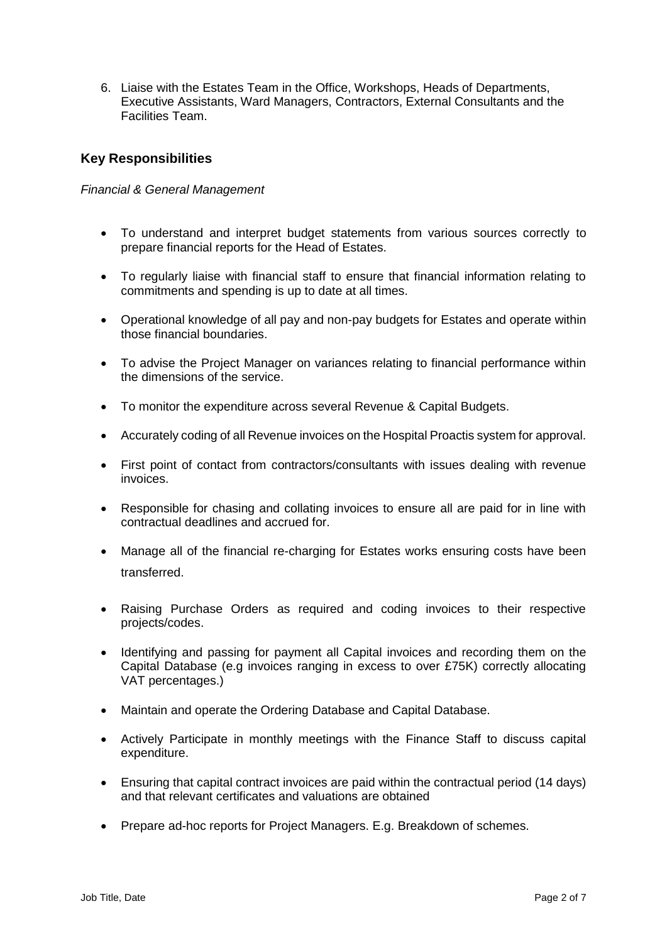6. Liaise with the Estates Team in the Office, Workshops, Heads of Departments, Executive Assistants, Ward Managers, Contractors, External Consultants and the Facilities Team.

# **Key Responsibilities**

# *Financial & General Management*

- To understand and interpret budget statements from various sources correctly to prepare financial reports for the Head of Estates.
- To regularly liaise with financial staff to ensure that financial information relating to commitments and spending is up to date at all times.
- Operational knowledge of all pay and non-pay budgets for Estates and operate within those financial boundaries.
- To advise the Project Manager on variances relating to financial performance within the dimensions of the service.
- To monitor the expenditure across several Revenue & Capital Budgets.
- Accurately coding of all Revenue invoices on the Hospital Proactis system for approval.
- First point of contact from contractors/consultants with issues dealing with revenue invoices.
- Responsible for chasing and collating invoices to ensure all are paid for in line with contractual deadlines and accrued for.
- Manage all of the financial re-charging for Estates works ensuring costs have been transferred.
- Raising Purchase Orders as required and coding invoices to their respective projects/codes.
- Identifying and passing for payment all Capital invoices and recording them on the Capital Database (e.g invoices ranging in excess to over £75K) correctly allocating VAT percentages.)
- Maintain and operate the Ordering Database and Capital Database.
- Actively Participate in monthly meetings with the Finance Staff to discuss capital expenditure.
- Ensuring that capital contract invoices are paid within the contractual period (14 days) and that relevant certificates and valuations are obtained
- Prepare ad-hoc reports for Project Managers. E.g. Breakdown of schemes.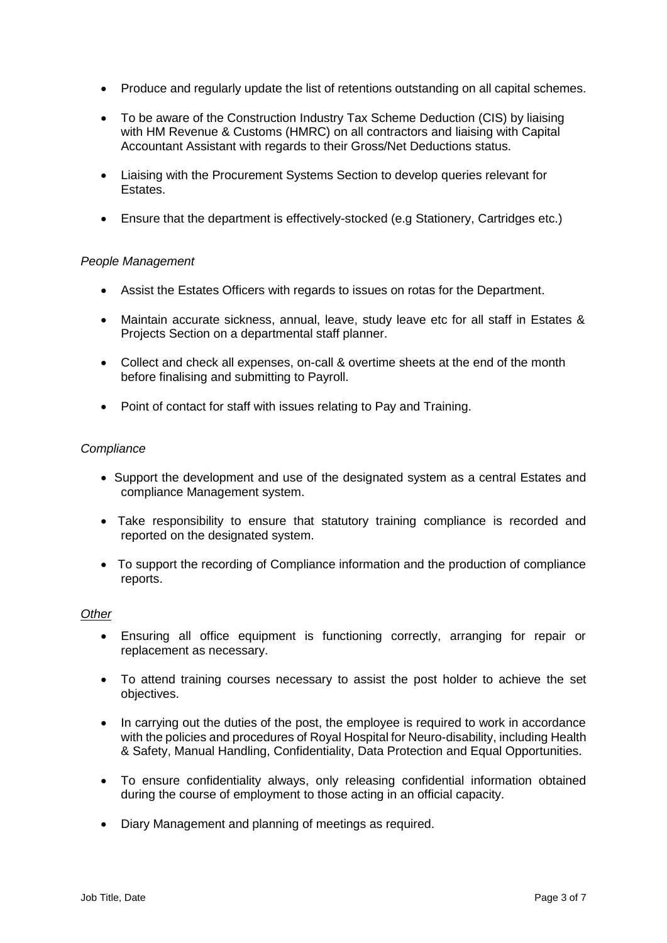- Produce and regularly update the list of retentions outstanding on all capital schemes.
- To be aware of the Construction Industry Tax Scheme Deduction (CIS) by liaising with HM Revenue & Customs (HMRC) on all contractors and liaising with Capital Accountant Assistant with regards to their Gross/Net Deductions status.
- Liaising with the Procurement Systems Section to develop queries relevant for Estates.
- Ensure that the department is effectively-stocked (e.g Stationery, Cartridges etc.)

# *People Management*

- Assist the Estates Officers with regards to issues on rotas for the Department.
- Maintain accurate sickness, annual, leave, study leave etc for all staff in Estates & Projects Section on a departmental staff planner.
- Collect and check all expenses, on-call & overtime sheets at the end of the month before finalising and submitting to Payroll.
- Point of contact for staff with issues relating to Pay and Training.

## *Compliance*

- Support the development and use of the designated system as a central Estates and compliance Management system.
- Take responsibility to ensure that statutory training compliance is recorded and reported on the designated system.
- To support the recording of Compliance information and the production of compliance reports.

#### *Other*

- Ensuring all office equipment is functioning correctly, arranging for repair or replacement as necessary.
- To attend training courses necessary to assist the post holder to achieve the set objectives.
- In carrying out the duties of the post, the employee is required to work in accordance with the policies and procedures of Royal Hospital for Neuro-disability, including Health & Safety, Manual Handling, Confidentiality, Data Protection and Equal Opportunities.
- To ensure confidentiality always, only releasing confidential information obtained during the course of employment to those acting in an official capacity.
- Diary Management and planning of meetings as required.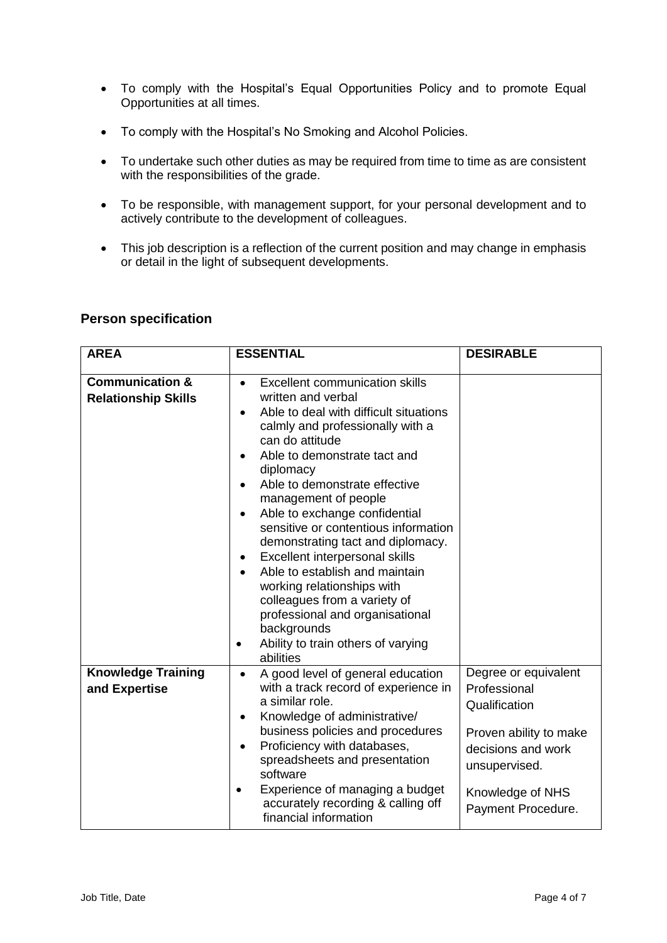- To comply with the Hospital's Equal Opportunities Policy and to promote Equal Opportunities at all times.
- To comply with the Hospital's No Smoking and Alcohol Policies.
- To undertake such other duties as may be required from time to time as are consistent with the responsibilities of the grade.
- To be responsible, with management support, for your personal development and to actively contribute to the development of colleagues.
- This job description is a reflection of the current position and may change in emphasis or detail in the light of subsequent developments.

# **Person specification**

| <b>AREA</b>                                              | <b>ESSENTIAL</b>                                                                                                                                                                                                                                                                                                                                                                                                                                                                                                                                                                                                                                                    | <b>DESIRABLE</b>                                                                                                                                                 |
|----------------------------------------------------------|---------------------------------------------------------------------------------------------------------------------------------------------------------------------------------------------------------------------------------------------------------------------------------------------------------------------------------------------------------------------------------------------------------------------------------------------------------------------------------------------------------------------------------------------------------------------------------------------------------------------------------------------------------------------|------------------------------------------------------------------------------------------------------------------------------------------------------------------|
| <b>Communication &amp;</b><br><b>Relationship Skills</b> | <b>Excellent communication skills</b><br>$\bullet$<br>written and verbal<br>Able to deal with difficult situations<br>calmly and professionally with a<br>can do attitude<br>Able to demonstrate tact and<br>$\bullet$<br>diplomacy<br>Able to demonstrate effective<br>management of people<br>Able to exchange confidential<br>$\bullet$<br>sensitive or contentious information<br>demonstrating tact and diplomacy.<br>Excellent interpersonal skills<br>٠<br>Able to establish and maintain<br>working relationships with<br>colleagues from a variety of<br>professional and organisational<br>backgrounds<br>Ability to train others of varying<br>abilities |                                                                                                                                                                  |
| <b>Knowledge Training</b><br>and Expertise               | A good level of general education<br>$\bullet$<br>with a track record of experience in<br>a similar role.<br>Knowledge of administrative/<br>$\bullet$<br>business policies and procedures<br>Proficiency with databases,<br>$\bullet$<br>spreadsheets and presentation<br>software<br>Experience of managing a budget<br>accurately recording & calling off<br>financial information                                                                                                                                                                                                                                                                               | Degree or equivalent<br>Professional<br>Qualification<br>Proven ability to make<br>decisions and work<br>unsupervised.<br>Knowledge of NHS<br>Payment Procedure. |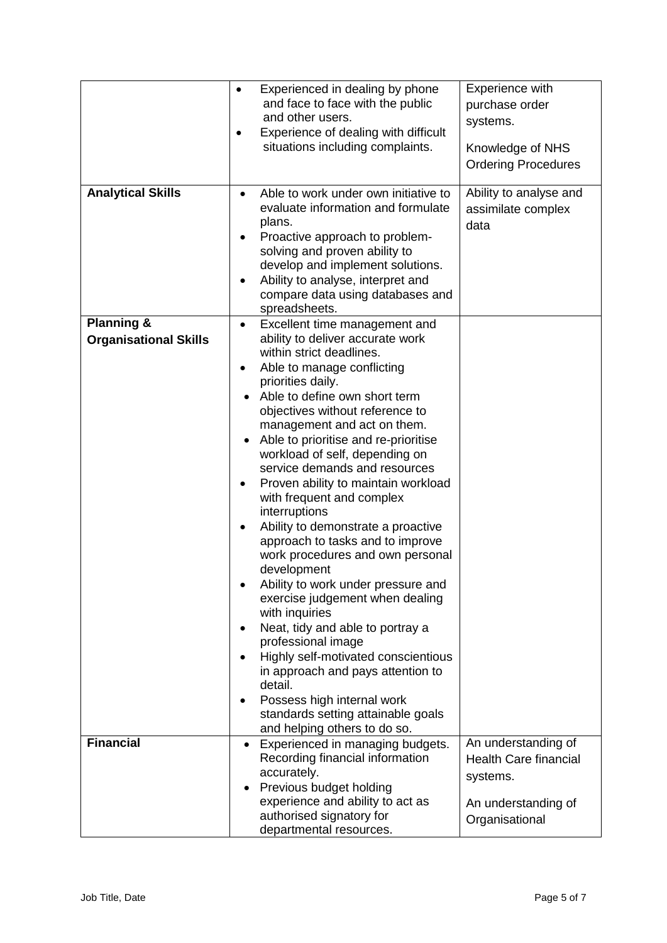|                                                       | $\bullet$                                           | Experienced in dealing by phone<br>and face to face with the public<br>and other users.<br>Experience of dealing with difficult<br>situations including complaints.                                                                                                                                                                                                                                                                                                                                                                                                                                                                                                                                                                                                                                                                                                                                                   | Experience with<br>purchase order<br>systems.<br>Knowledge of NHS<br><b>Ordering Procedures</b>          |
|-------------------------------------------------------|-----------------------------------------------------|-----------------------------------------------------------------------------------------------------------------------------------------------------------------------------------------------------------------------------------------------------------------------------------------------------------------------------------------------------------------------------------------------------------------------------------------------------------------------------------------------------------------------------------------------------------------------------------------------------------------------------------------------------------------------------------------------------------------------------------------------------------------------------------------------------------------------------------------------------------------------------------------------------------------------|----------------------------------------------------------------------------------------------------------|
| <b>Analytical Skills</b>                              | $\bullet$<br>plans.<br>٠                            | Able to work under own initiative to<br>evaluate information and formulate<br>Proactive approach to problem-<br>solving and proven ability to<br>develop and implement solutions.<br>Ability to analyse, interpret and<br>compare data using databases and<br>spreadsheets.                                                                                                                                                                                                                                                                                                                                                                                                                                                                                                                                                                                                                                           | Ability to analyse and<br>assimilate complex<br>data                                                     |
| <b>Planning &amp;</b><br><b>Organisational Skills</b> | $\bullet$<br>$\bullet$<br>٠<br>detail.<br>$\bullet$ | Excellent time management and<br>ability to deliver accurate work<br>within strict deadlines.<br>Able to manage conflicting<br>priorities daily.<br>Able to define own short term<br>objectives without reference to<br>management and act on them.<br>Able to prioritise and re-prioritise<br>workload of self, depending on<br>service demands and resources<br>Proven ability to maintain workload<br>with frequent and complex<br>interruptions<br>Ability to demonstrate a proactive<br>approach to tasks and to improve<br>work procedures and own personal<br>development<br>Ability to work under pressure and<br>exercise judgement when dealing<br>with inquiries<br>Neat, tidy and able to portray a<br>professional image<br>Highly self-motivated conscientious<br>in approach and pays attention to<br>Possess high internal work<br>standards setting attainable goals<br>and helping others to do so. |                                                                                                          |
| <b>Financial</b>                                      |                                                     | Experienced in managing budgets.<br>Recording financial information<br>accurately.<br>Previous budget holding<br>experience and ability to act as<br>authorised signatory for<br>departmental resources.                                                                                                                                                                                                                                                                                                                                                                                                                                                                                                                                                                                                                                                                                                              | An understanding of<br><b>Health Care financial</b><br>systems.<br>An understanding of<br>Organisational |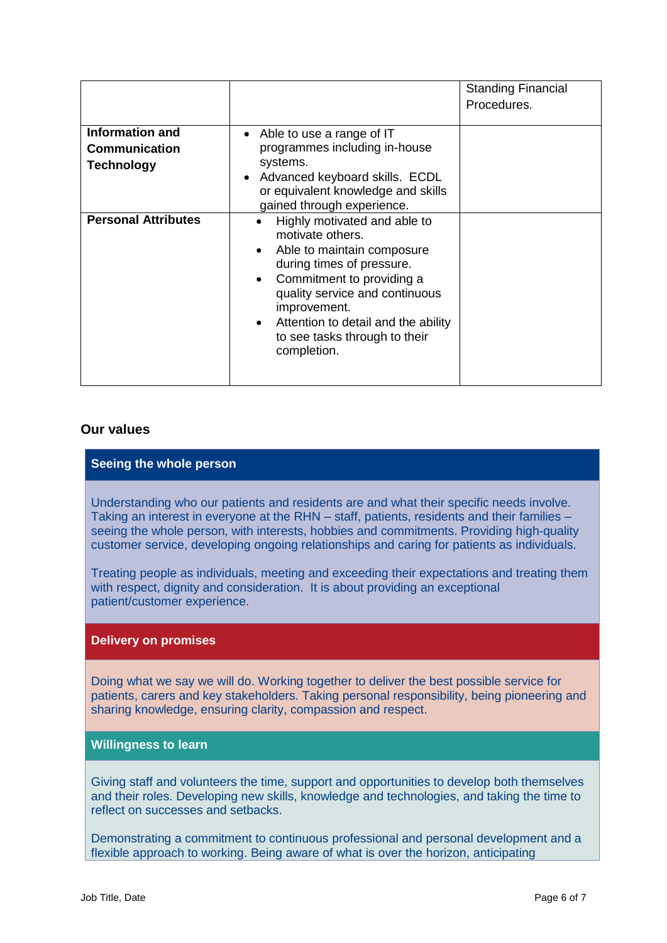|                                                                     |                                                                                                                                                                                                                                                                                                                                       | <b>Standing Financial</b><br>Procedures. |
|---------------------------------------------------------------------|---------------------------------------------------------------------------------------------------------------------------------------------------------------------------------------------------------------------------------------------------------------------------------------------------------------------------------------|------------------------------------------|
| <b>Information and</b><br><b>Communication</b><br><b>Technology</b> | • Able to use a range of IT<br>programmes including in-house<br>systems.<br>Advanced keyboard skills. ECDL<br>or equivalent knowledge and skills<br>gained through experience.                                                                                                                                                        |                                          |
| <b>Personal Attributes</b>                                          | Highly motivated and able to<br>$\bullet$<br>motivate others.<br>Able to maintain composure<br>$\bullet$<br>during times of pressure.<br>Commitment to providing a<br>$\bullet$<br>quality service and continuous<br>improvement.<br>Attention to detail and the ability<br>$\bullet$<br>to see tasks through to their<br>completion. |                                          |

## **Our values**

## **Seeing the whole person**

Understanding who our patients and residents are and what their specific needs involve. Taking an interest in everyone at the RHN – staff, patients, residents and their families – seeing the whole person, with interests, hobbies and commitments. Providing high-quality customer service, developing ongoing relationships and caring for patients as individuals.

Treating people as individuals, meeting and exceeding their expectations and treating them with respect, dignity and consideration. It is about providing an exceptional patient/customer experience.

#### **Delivery on promises**

Doing what we say we will do. Working together to deliver the best possible service for patients, carers and key stakeholders. Taking personal responsibility, being pioneering and sharing knowledge, ensuring clarity, compassion and respect.

## **Willingness to learn**

Giving staff and volunteers the time, support and opportunities to develop both themselves and their roles. Developing new skills, knowledge and technologies, and taking the time to reflect on successes and setbacks.

Demonstrating a commitment to continuous professional and personal development and a flexible approach to working. Being aware of what is over the horizon, anticipating